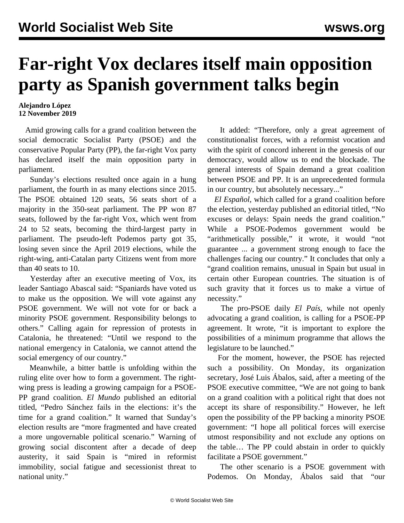## **Far-right Vox declares itself main opposition party as Spanish government talks begin**

## **Alejandro López 12 November 2019**

 Amid growing calls for a grand coalition between the social democratic Socialist Party (PSOE) and the conservative Popular Party (PP), the far-right Vox party has declared itself the main opposition party in parliament.

 Sunday's elections resulted once again in a hung parliament, the fourth in as many elections since 2015. The PSOE obtained 120 seats, 56 seats short of a majority in the 350-seat parliament. The PP won 87 seats, followed by the far-right Vox, which went from 24 to 52 seats, becoming the third-largest party in parliament. The pseudo-left Podemos party got 35, losing seven since the April 2019 elections, while the right-wing, anti-Catalan party Citizens went from more than 40 seats to 10.

 Yesterday after an executive meeting of Vox, its leader Santiago Abascal said: "Spaniards have voted us to make us the opposition. We will vote against any PSOE government. We will not vote for or back a minority PSOE government. Responsibility belongs to others." Calling again for repression of protests in Catalonia, he threatened: "Until we respond to the national emergency in Catalonia, we cannot attend the social emergency of our country."

 Meanwhile, a bitter battle is unfolding within the ruling elite over how to form a government. The rightwing press is leading a growing campaign for a PSOE-PP grand coalition. *El Mundo* published an editorial titled, "Pedro Sánchez fails in the elections: it's the time for a grand coalition." It warned that Sunday's election results are "more fragmented and have created a more ungovernable political scenario." Warning of growing social discontent after a decade of deep austerity, it said Spain is "mired in reformist immobility, social fatigue and secessionist threat to national unity."

 It added: "Therefore, only a great agreement of constitutionalist forces, with a reformist vocation and with the spirit of concord inherent in the genesis of our democracy, would allow us to end the blockade. The general interests of Spain demand a great coalition between PSOE and PP. It is an unprecedented formula in our country, but absolutely necessary..."

 *El Español*, which called for a grand coalition before the election, yesterday published an editorial titled, "No excuses or delays: Spain needs the grand coalition." While a PSOE-Podemos government would be "arithmetically possible," it wrote, it would "not guarantee ... a government strong enough to face the challenges facing our country." It concludes that only a "grand coalition remains, unusual in Spain but usual in certain other European countries. The situation is of such gravity that it forces us to make a virtue of necessity."

 The pro-PSOE daily *El País*, while not openly advocating a grand coalition, is calling for a PSOE-PP agreement. It wrote, "it is important to explore the possibilities of a minimum programme that allows the legislature to be launched."

 For the moment, however, the PSOE has rejected such a possibility. On Monday, its organization secretary, José Luis Ábalos, said, after a meeting of the PSOE executive committee, "We are not going to bank on a grand coalition with a political right that does not accept its share of responsibility." However, he left open the possibility of the PP backing a minority PSOE government: "I hope all political forces will exercise utmost responsibility and not exclude any options on the table… The PP could abstain in order to quickly facilitate a PSOE government."

 The other scenario is a PSOE government with Podemos. On Monday, Ábalos said that "our